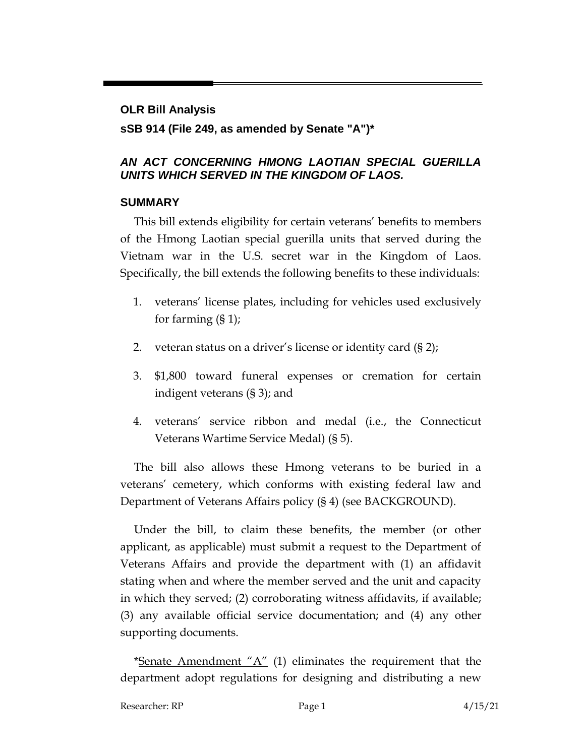# **OLR Bill Analysis**

## **sSB 914 (File 249, as amended by Senate "A")\***

## *AN ACT CONCERNING HMONG LAOTIAN SPECIAL GUERILLA UNITS WHICH SERVED IN THE KINGDOM OF LAOS.*

## **SUMMARY**

This bill extends eligibility for certain veterans' benefits to members of the Hmong Laotian special guerilla units that served during the Vietnam war in the U.S. secret war in the Kingdom of Laos. Specifically, the bill extends the following benefits to these individuals:

- 1. veterans' license plates, including for vehicles used exclusively for farming (§ 1);
- 2. veteran status on a driver's license or identity card (§ 2);
- 3. \$1,800 toward funeral expenses or cremation for certain indigent veterans (§ 3); and
- 4. veterans' service ribbon and medal (i.e., the Connecticut Veterans Wartime Service Medal) (§ 5).

The bill also allows these Hmong veterans to be buried in a veterans' cemetery, which conforms with existing federal law and Department of Veterans Affairs policy (§ 4) (see BACKGROUND).

Under the bill, to claim these benefits, the member (or other applicant, as applicable) must submit a request to the Department of Veterans Affairs and provide the department with (1) an affidavit stating when and where the member served and the unit and capacity in which they served; (2) corroborating witness affidavits, if available; (3) any available official service documentation; and (4) any other supporting documents.

\*Senate  $A$ mendment " $A$ " (1) eliminates the requirement that the department adopt regulations for designing and distributing a new

Researcher: RP Page 1 2 215/21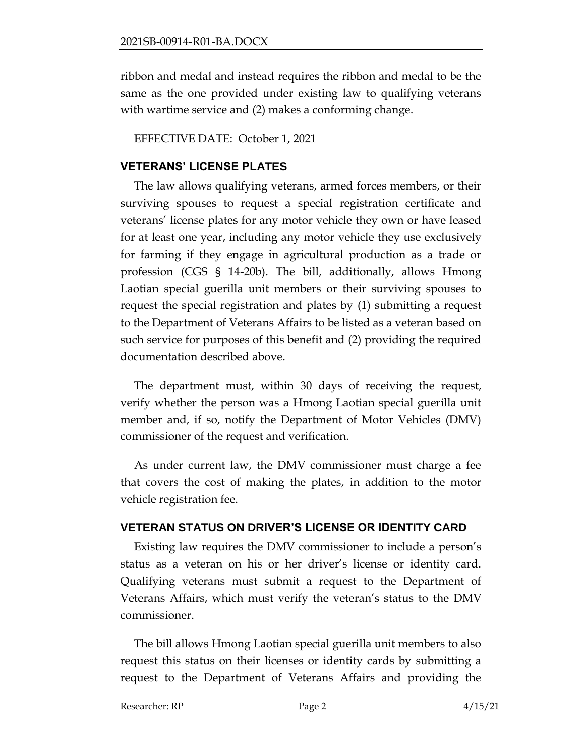ribbon and medal and instead requires the ribbon and medal to be the same as the one provided under existing law to qualifying veterans with wartime service and (2) makes a conforming change.

EFFECTIVE DATE: October 1, 2021

#### **VETERANS' LICENSE PLATES**

The law allows qualifying veterans, armed forces members, or their surviving spouses to request a special registration certificate and veterans' license plates for any motor vehicle they own or have leased for at least one year, including any motor vehicle they use exclusively for farming if they engage in agricultural production as a trade or profession (CGS § 14-20b). The bill, additionally, allows Hmong Laotian special guerilla unit members or their surviving spouses to request the special registration and plates by (1) submitting a request to the Department of Veterans Affairs to be listed as a veteran based on such service for purposes of this benefit and (2) providing the required documentation described above.

The department must, within 30 days of receiving the request, verify whether the person was a Hmong Laotian special guerilla unit member and, if so, notify the Department of Motor Vehicles (DMV) commissioner of the request and verification.

As under current law, the DMV commissioner must charge a fee that covers the cost of making the plates, in addition to the motor vehicle registration fee.

#### **VETERAN STATUS ON DRIVER'S LICENSE OR IDENTITY CARD**

Existing law requires the DMV commissioner to include a person's status as a veteran on his or her driver's license or identity card. Qualifying veterans must submit a request to the Department of Veterans Affairs, which must verify the veteran's status to the DMV commissioner.

The bill allows Hmong Laotian special guerilla unit members to also request this status on their licenses or identity cards by submitting a request to the Department of Veterans Affairs and providing the

Researcher: RP Page 2 4/15/21